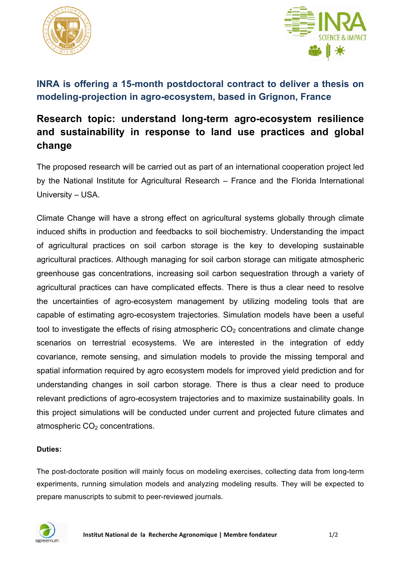



## **INRA is offering a 15-month postdoctoral contract to deliver a thesis on modeling-projection in agro-ecosystem, based in Grignon, France**

# **Research topic: understand long-term agro-ecosystem resilience and sustainability in response to land use practices and global change**

The proposed research will be carried out as part of an international cooperation project led by the National Institute for Agricultural Research – France and the Florida International University – USA.

Climate Change will have a strong effect on agricultural systems globally through climate induced shifts in production and feedbacks to soil biochemistry. Understanding the impact of agricultural practices on soil carbon storage is the key to developing sustainable agricultural practices. Although managing for soil carbon storage can mitigate atmospheric greenhouse gas concentrations, increasing soil carbon sequestration through a variety of agricultural practices can have complicated effects. There is thus a clear need to resolve the uncertainties of agro-ecosystem management by utilizing modeling tools that are capable of estimating agro-ecosystem trajectories. Simulation models have been a useful tool to investigate the effects of rising atmospheric  $CO<sub>2</sub>$  concentrations and climate change scenarios on terrestrial ecosystems. We are interested in the integration of eddy covariance, remote sensing, and simulation models to provide the missing temporal and spatial information required by agro ecosystem models for improved yield prediction and for understanding changes in soil carbon storage. There is thus a clear need to produce relevant predictions of agro-ecosystem trajectories and to maximize sustainability goals. In this project simulations will be conducted under current and projected future climates and atmospheric CO<sub>2</sub> concentrations.

### **Duties:**

The post-doctorate position will mainly focus on modeling exercises, collecting data from long-term experiments, running simulation models and analyzing modeling results. They will be expected to prepare manuscripts to submit to peer-reviewed journals.